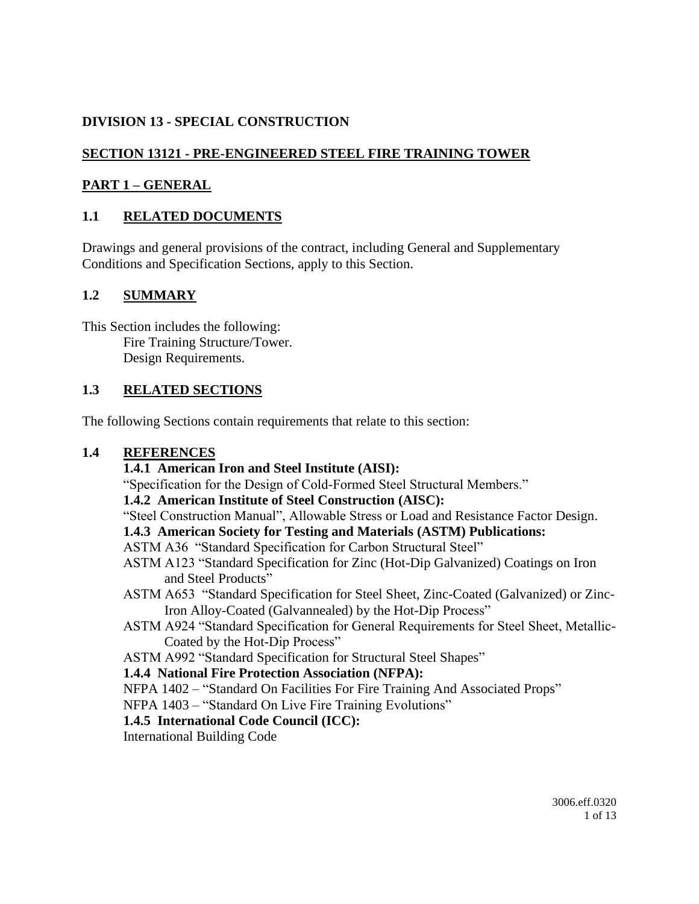# **DIVISION 13 - SPECIAL CONSTRUCTION**

# **SECTION 13121 - PRE-ENGINEERED STEEL FIRE TRAINING TOWER**

## **PART 1 – GENERAL**

## **1.1 RELATED DOCUMENTS**

Drawings and general provisions of the contract, including General and Supplementary Conditions and Specification Sections, apply to this Section.

## **1.2 SUMMARY**

This Section includes the following: Fire Training Structure/Tower. Design Requirements.

## **1.3 RELATED SECTIONS**

The following Sections contain requirements that relate to this section:

### **1.4 REFERENCES**

### **1.4.1 American Iron and Steel Institute (AISI):**

"Specification for the Design of Cold-Formed Steel Structural Members."

### **1.4.2 American Institute of Steel Construction (AISC):**

"Steel Construction Manual", Allowable Stress or Load and Resistance Factor Design.

### **1.4.3 American Society for Testing and Materials (ASTM) Publications:**

### ASTM A36 "Standard Specification for Carbon Structural Steel"

- ASTM A123 "Standard Specification for Zinc (Hot-Dip Galvanized) Coatings on Iron and Steel Products"
- ASTM A653 "Standard Specification for Steel Sheet, Zinc-Coated (Galvanized) or Zinc-Iron Alloy-Coated (Galvannealed) by the Hot-Dip Process"
- ASTM A924 "Standard Specification for General Requirements for Steel Sheet, Metallic-Coated by the Hot-Dip Process"
- ASTM A992 "Standard Specification for Structural Steel Shapes"

### **1.4.4 National Fire Protection Association (NFPA):**

NFPA 1402 – "Standard On Facilities For Fire Training And Associated Props"

NFPA 1403 – "Standard On Live Fire Training Evolutions"

### **1.4.5 International Code Council (ICC):**

International Building Code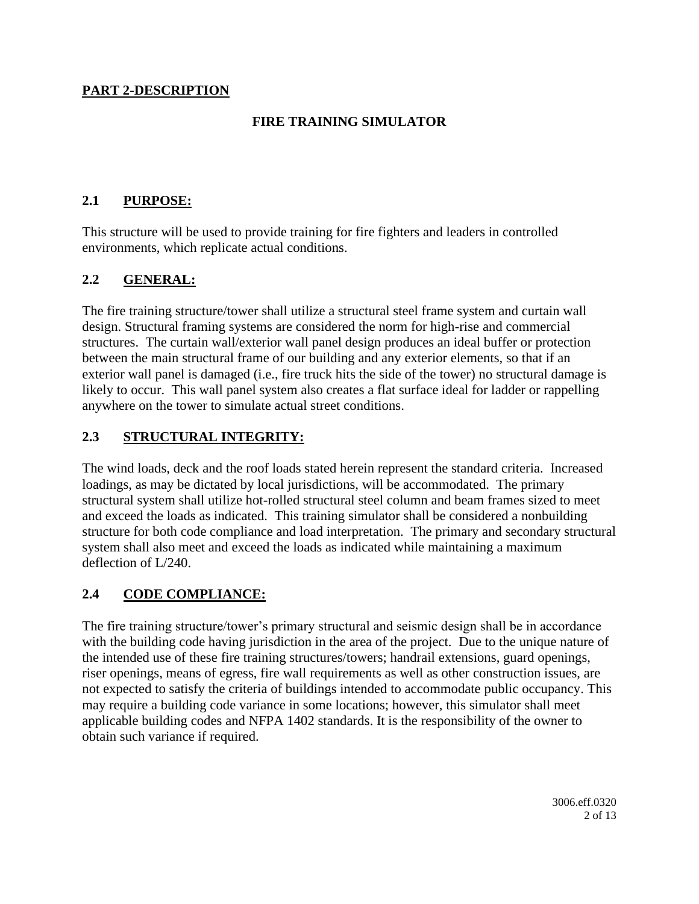### **PART 2-DESCRIPTION**

## **FIRE TRAINING SIMULATOR**

## **2.1 PURPOSE:**

This structure will be used to provide training for fire fighters and leaders in controlled environments, which replicate actual conditions.

## **2.2 GENERAL:**

The fire training structure/tower shall utilize a structural steel frame system and curtain wall design. Structural framing systems are considered the norm for high-rise and commercial structures. The curtain wall/exterior wall panel design produces an ideal buffer or protection between the main structural frame of our building and any exterior elements, so that if an exterior wall panel is damaged (i.e., fire truck hits the side of the tower) no structural damage is likely to occur. This wall panel system also creates a flat surface ideal for ladder or rappelling anywhere on the tower to simulate actual street conditions.

## **2.3 STRUCTURAL INTEGRITY:**

The wind loads, deck and the roof loads stated herein represent the standard criteria. Increased loadings, as may be dictated by local jurisdictions, will be accommodated. The primary structural system shall utilize hot-rolled structural steel column and beam frames sized to meet and exceed the loads as indicated. This training simulator shall be considered a nonbuilding structure for both code compliance and load interpretation. The primary and secondary structural system shall also meet and exceed the loads as indicated while maintaining a maximum deflection of L/240.

### **2.4 CODE COMPLIANCE:**

The fire training structure/tower's primary structural and seismic design shall be in accordance with the building code having jurisdiction in the area of the project. Due to the unique nature of the intended use of these fire training structures/towers; handrail extensions, guard openings, riser openings, means of egress, fire wall requirements as well as other construction issues, are not expected to satisfy the criteria of buildings intended to accommodate public occupancy. This may require a building code variance in some locations; however, this simulator shall meet applicable building codes and NFPA 1402 standards. It is the responsibility of the owner to obtain such variance if required.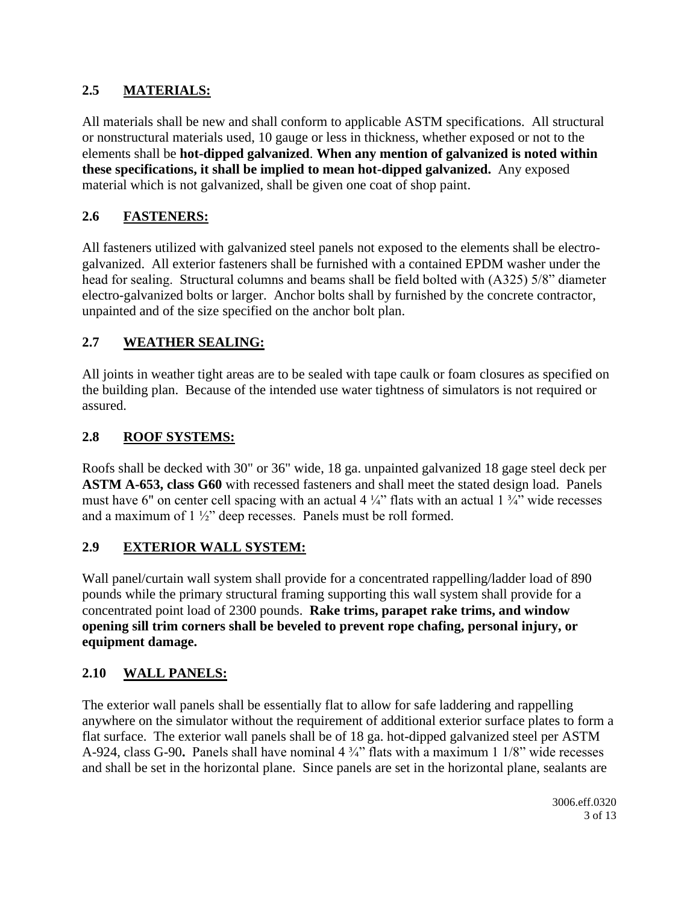# **2.5 MATERIALS:**

All materials shall be new and shall conform to applicable ASTM specifications. All structural or nonstructural materials used, 10 gauge or less in thickness, whether exposed or not to the elements shall be **hot-dipped galvanized**. **When any mention of galvanized is noted within these specifications, it shall be implied to mean hot-dipped galvanized.** Any exposed material which is not galvanized, shall be given one coat of shop paint.

# **2.6 FASTENERS:**

All fasteners utilized with galvanized steel panels not exposed to the elements shall be electrogalvanized. All exterior fasteners shall be furnished with a contained EPDM washer under the head for sealing. Structural columns and beams shall be field bolted with (A325) 5/8" diameter electro-galvanized bolts or larger. Anchor bolts shall by furnished by the concrete contractor, unpainted and of the size specified on the anchor bolt plan.

# **2.7 WEATHER SEALING:**

All joints in weather tight areas are to be sealed with tape caulk or foam closures as specified on the building plan. Because of the intended use water tightness of simulators is not required or assured.

# **2.8 ROOF SYSTEMS:**

Roofs shall be decked with 30" or 36" wide, 18 ga. unpainted galvanized 18 gage steel deck per **ASTM A-653, class G60** with recessed fasteners and shall meet the stated design load. Panels must have 6" on center cell spacing with an actual 4  $\frac{1}{4}$ " flats with an actual 1  $\frac{3}{4}$ " wide recesses and a maximum of 1 ½" deep recesses. Panels must be roll formed.

### **2.9 EXTERIOR WALL SYSTEM:**

Wall panel/curtain wall system shall provide for a concentrated rappelling/ladder load of 890 pounds while the primary structural framing supporting this wall system shall provide for a concentrated point load of 2300 pounds. **Rake trims, parapet rake trims, and window opening sill trim corners shall be beveled to prevent rope chafing, personal injury, or equipment damage.**

# **2.10 WALL PANELS:**

The exterior wall panels shall be essentially flat to allow for safe laddering and rappelling anywhere on the simulator without the requirement of additional exterior surface plates to form a flat surface. The exterior wall panels shall be of 18 ga. hot-dipped galvanized steel per ASTM A-924, class G-90**.** Panels shall have nominal 4 ¾" flats with a maximum 1 1/8" wide recesses and shall be set in the horizontal plane. Since panels are set in the horizontal plane, sealants are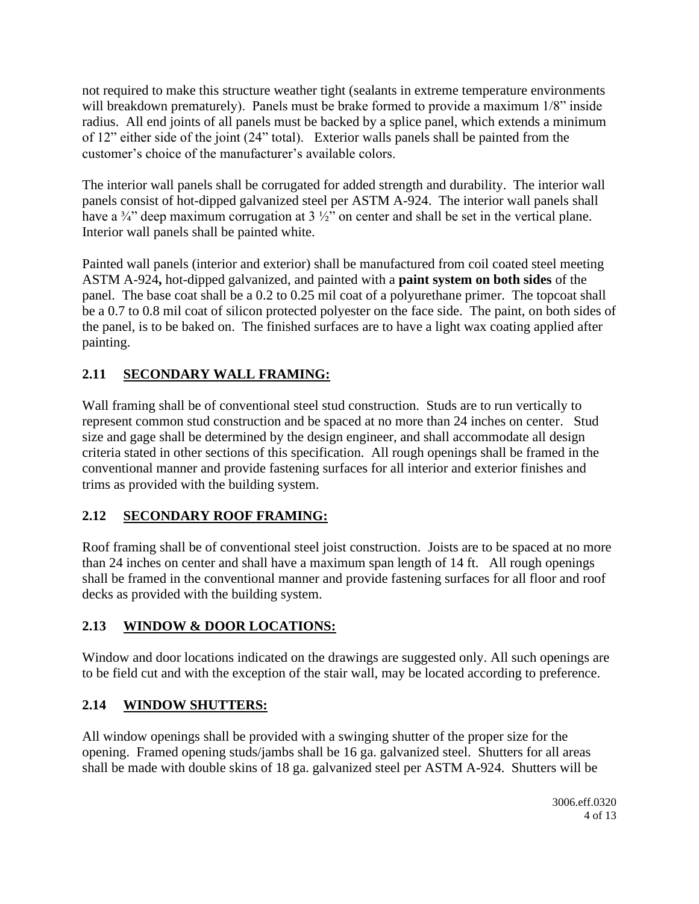not required to make this structure weather tight (sealants in extreme temperature environments will breakdown prematurely). Panels must be brake formed to provide a maximum  $1/8$ " inside radius. All end joints of all panels must be backed by a splice panel, which extends a minimum of 12" either side of the joint (24" total). Exterior walls panels shall be painted from the customer's choice of the manufacturer's available colors.

The interior wall panels shall be corrugated for added strength and durability. The interior wall panels consist of hot-dipped galvanized steel per ASTM A-924. The interior wall panels shall have a  $\frac{3}{4}$ " deep maximum corrugation at 3  $\frac{1}{2}$ " on center and shall be set in the vertical plane. Interior wall panels shall be painted white.

Painted wall panels (interior and exterior) shall be manufactured from coil coated steel meeting ASTM A-924**,** hot-dipped galvanized, and painted with a **paint system on both sides** of the panel. The base coat shall be a 0.2 to 0.25 mil coat of a polyurethane primer. The topcoat shall be a 0.7 to 0.8 mil coat of silicon protected polyester on the face side. The paint, on both sides of the panel, is to be baked on. The finished surfaces are to have a light wax coating applied after painting.

# **2.11 SECONDARY WALL FRAMING:**

Wall framing shall be of conventional steel stud construction. Studs are to run vertically to represent common stud construction and be spaced at no more than 24 inches on center. Stud size and gage shall be determined by the design engineer, and shall accommodate all design criteria stated in other sections of this specification. All rough openings shall be framed in the conventional manner and provide fastening surfaces for all interior and exterior finishes and trims as provided with the building system.

# **2.12 SECONDARY ROOF FRAMING:**

Roof framing shall be of conventional steel joist construction. Joists are to be spaced at no more than 24 inches on center and shall have a maximum span length of 14 ft. All rough openings shall be framed in the conventional manner and provide fastening surfaces for all floor and roof decks as provided with the building system.

# **2.13 WINDOW & DOOR LOCATIONS:**

Window and door locations indicated on the drawings are suggested only. All such openings are to be field cut and with the exception of the stair wall, may be located according to preference.

# **2.14 WINDOW SHUTTERS:**

All window openings shall be provided with a swinging shutter of the proper size for the opening. Framed opening studs/jambs shall be 16 ga. galvanized steel. Shutters for all areas shall be made with double skins of 18 ga. galvanized steel per ASTM A-924. Shutters will be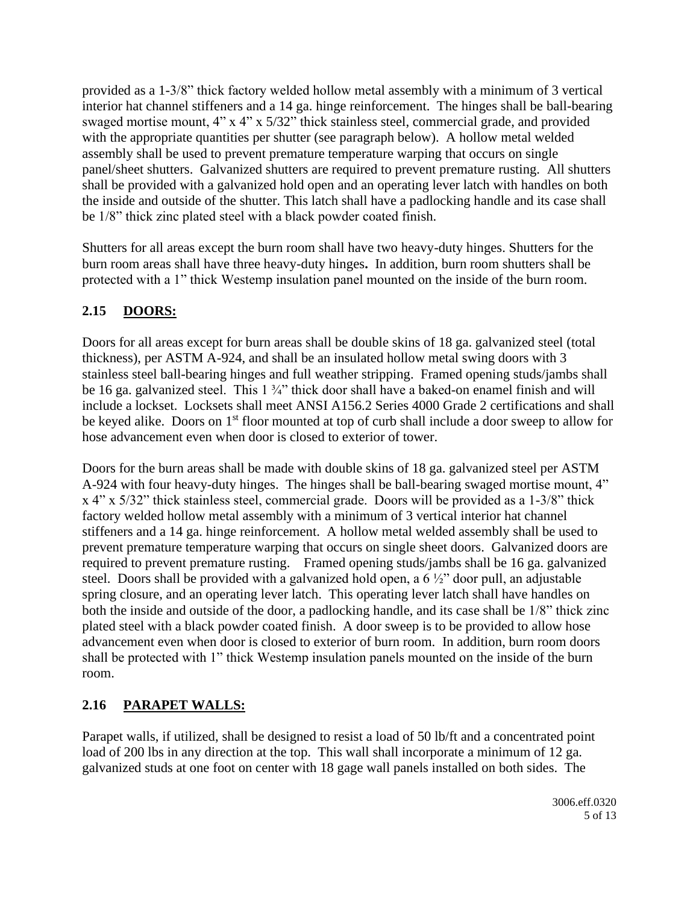provided as a 1-3/8" thick factory welded hollow metal assembly with a minimum of 3 vertical interior hat channel stiffeners and a 14 ga. hinge reinforcement. The hinges shall be ball-bearing swaged mortise mount, 4" x 4" x 5/32" thick stainless steel, commercial grade, and provided with the appropriate quantities per shutter (see paragraph below). A hollow metal welded assembly shall be used to prevent premature temperature warping that occurs on single panel/sheet shutters. Galvanized shutters are required to prevent premature rusting. All shutters shall be provided with a galvanized hold open and an operating lever latch with handles on both the inside and outside of the shutter. This latch shall have a padlocking handle and its case shall be 1/8" thick zinc plated steel with a black powder coated finish.

Shutters for all areas except the burn room shall have two heavy-duty hinges. Shutters for the burn room areas shall have three heavy-duty hinges**.** In addition, burn room shutters shall be protected with a 1" thick Westemp insulation panel mounted on the inside of the burn room.

# **2.15 DOORS:**

Doors for all areas except for burn areas shall be double skins of 18 ga. galvanized steel (total thickness), per ASTM A-924, and shall be an insulated hollow metal swing doors with 3 stainless steel ball-bearing hinges and full weather stripping. Framed opening studs/jambs shall be 16 ga. galvanized steel. This 1 ¼" thick door shall have a baked-on enamel finish and will include a lockset. Locksets shall meet ANSI A156.2 Series 4000 Grade 2 certifications and shall be keyed alike. Doors on 1<sup>st</sup> floor mounted at top of curb shall include a door sweep to allow for hose advancement even when door is closed to exterior of tower.

Doors for the burn areas shall be made with double skins of 18 ga. galvanized steel per ASTM A-924 with four heavy-duty hinges. The hinges shall be ball-bearing swaged mortise mount, 4" x 4" x 5/32" thick stainless steel, commercial grade. Doors will be provided as a 1-3/8" thick factory welded hollow metal assembly with a minimum of 3 vertical interior hat channel stiffeners and a 14 ga. hinge reinforcement. A hollow metal welded assembly shall be used to prevent premature temperature warping that occurs on single sheet doors. Galvanized doors are required to prevent premature rusting. Framed opening studs/jambs shall be 16 ga. galvanized steel. Doors shall be provided with a galvanized hold open, a 6 ½" door pull, an adjustable spring closure, and an operating lever latch. This operating lever latch shall have handles on both the inside and outside of the door, a padlocking handle, and its case shall be 1/8" thick zinc plated steel with a black powder coated finish. A door sweep is to be provided to allow hose advancement even when door is closed to exterior of burn room. In addition, burn room doors shall be protected with 1" thick Westemp insulation panels mounted on the inside of the burn room.

# **2.16 PARAPET WALLS:**

Parapet walls, if utilized, shall be designed to resist a load of 50 lb/ft and a concentrated point load of 200 lbs in any direction at the top. This wall shall incorporate a minimum of 12 ga. galvanized studs at one foot on center with 18 gage wall panels installed on both sides. The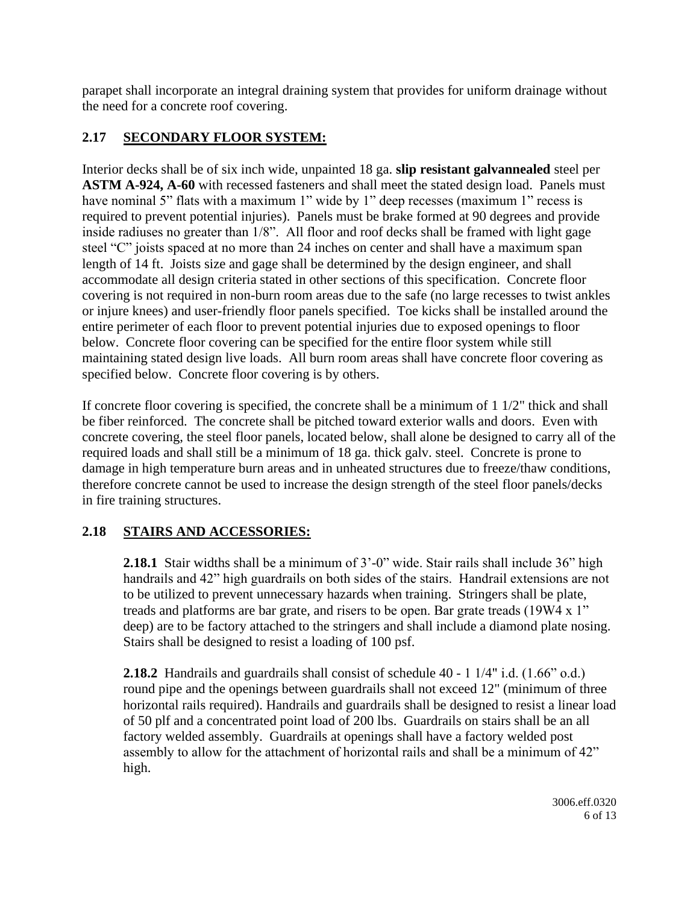parapet shall incorporate an integral draining system that provides for uniform drainage without the need for a concrete roof covering.

# **2.17 SECONDARY FLOOR SYSTEM:**

Interior decks shall be of six inch wide, unpainted 18 ga. **slip resistant galvannealed** steel per **ASTM A-924, A-60** with recessed fasteners and shall meet the stated design load. Panels must have nominal 5" flats with a maximum 1" wide by 1" deep recesses (maximum 1" recess is required to prevent potential injuries). Panels must be brake formed at 90 degrees and provide inside radiuses no greater than 1/8". All floor and roof decks shall be framed with light gage steel "C" joists spaced at no more than 24 inches on center and shall have a maximum span length of 14 ft. Joists size and gage shall be determined by the design engineer, and shall accommodate all design criteria stated in other sections of this specification. Concrete floor covering is not required in non-burn room areas due to the safe (no large recesses to twist ankles or injure knees) and user-friendly floor panels specified. Toe kicks shall be installed around the entire perimeter of each floor to prevent potential injuries due to exposed openings to floor below. Concrete floor covering can be specified for the entire floor system while still maintaining stated design live loads. All burn room areas shall have concrete floor covering as specified below. Concrete floor covering is by others.

If concrete floor covering is specified, the concrete shall be a minimum of  $1\frac{1}{2}$ " thick and shall be fiber reinforced. The concrete shall be pitched toward exterior walls and doors. Even with concrete covering, the steel floor panels, located below, shall alone be designed to carry all of the required loads and shall still be a minimum of 18 ga. thick galv. steel. Concrete is prone to damage in high temperature burn areas and in unheated structures due to freeze/thaw conditions, therefore concrete cannot be used to increase the design strength of the steel floor panels/decks in fire training structures.

# **2.18 STAIRS AND ACCESSORIES:**

**2.18.1** Stair widths shall be a minimum of 3'-0" wide. Stair rails shall include 36" high handrails and 42" high guardrails on both sides of the stairs. Handrail extensions are not to be utilized to prevent unnecessary hazards when training. Stringers shall be plate, treads and platforms are bar grate, and risers to be open. Bar grate treads (19W4 x 1" deep) are to be factory attached to the stringers and shall include a diamond plate nosing. Stairs shall be designed to resist a loading of 100 psf.

**2.18.2** Handrails and guardrails shall consist of schedule 40 - 1 1/4" i.d. (1.66" o.d.) round pipe and the openings between guardrails shall not exceed 12" (minimum of three horizontal rails required). Handrails and guardrails shall be designed to resist a linear load of 50 plf and a concentrated point load of 200 lbs. Guardrails on stairs shall be an all factory welded assembly. Guardrails at openings shall have a factory welded post assembly to allow for the attachment of horizontal rails and shall be a minimum of 42" high.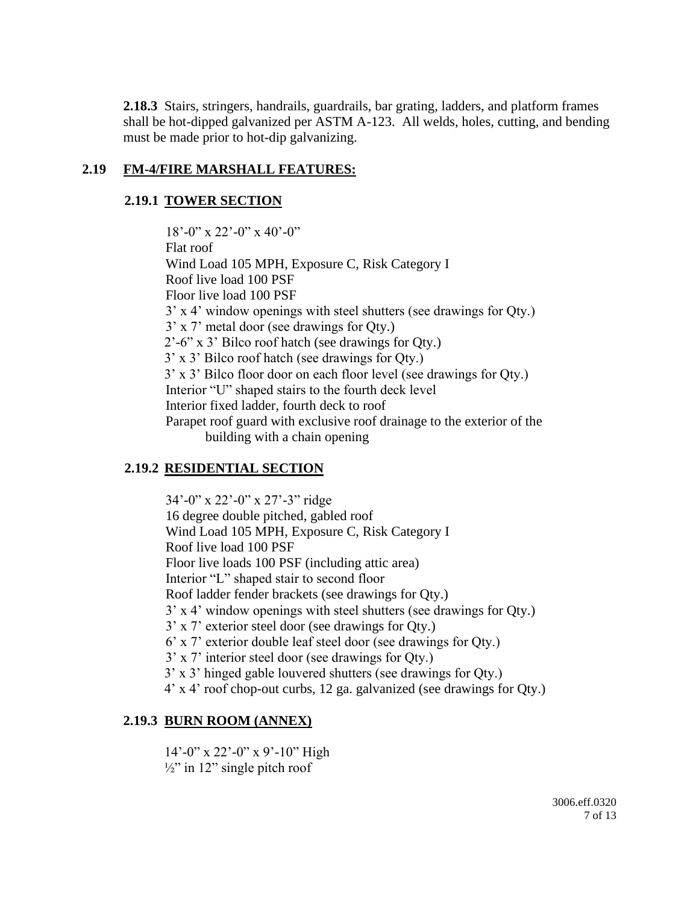**2.18.3** Stairs, stringers, handrails, guardrails, bar grating, ladders, and platform frames shall be hot-dipped galvanized per ASTM A-123. All welds, holes, cutting, and bending must be made prior to hot-dip galvanizing.

### **2.19 FM-4/FIRE MARSHALL FEATURES:**

### **2.19.1 TOWER SECTION**

18'-0" x 22'-0" x 40'-0" Flat roof Wind Load 105 MPH, Exposure C, Risk Category I Roof live load 100 PSF Floor live load 100 PSF 3' x 4' window openings with steel shutters (see drawings for Qty.) 3' x 7' metal door (see drawings for Qty.) 2'-6" x 3' Bilco roof hatch (see drawings for Qty.) 3' x 3' Bilco roof hatch (see drawings for Qty.) 3' x 3' Bilco floor door on each floor level (see drawings for Qty.) Interior "U" shaped stairs to the fourth deck level Interior fixed ladder, fourth deck to roof Parapet roof guard with exclusive roof drainage to the exterior of the building with a chain opening

# **2.19.2 RESIDENTIAL SECTION**

34'-0" x 22'-0" x 27'-3" ridge 16 degree double pitched, gabled roof Wind Load 105 MPH, Exposure C, Risk Category I Roof live load 100 PSF Floor live loads 100 PSF (including attic area) Interior "L" shaped stair to second floor Roof ladder fender brackets (see drawings for Qty.) 3' x 4' window openings with steel shutters (see drawings for Qty.) 3' x 7' exterior steel door (see drawings for Qty.) 6' x 7' exterior double leaf steel door (see drawings for Qty.) 3' x 7' interior steel door (see drawings for Qty.) 3' x 3' hinged gable louvered shutters (see drawings for Qty.) 4' x 4' roof chop-out curbs, 12 ga. galvanized (see drawings for Qty.)

# **2.19.3 BURN ROOM (ANNEX)**

14'-0" x 22'-0" x 9'-10" High  $\frac{1}{2}$ " in 12" single pitch roof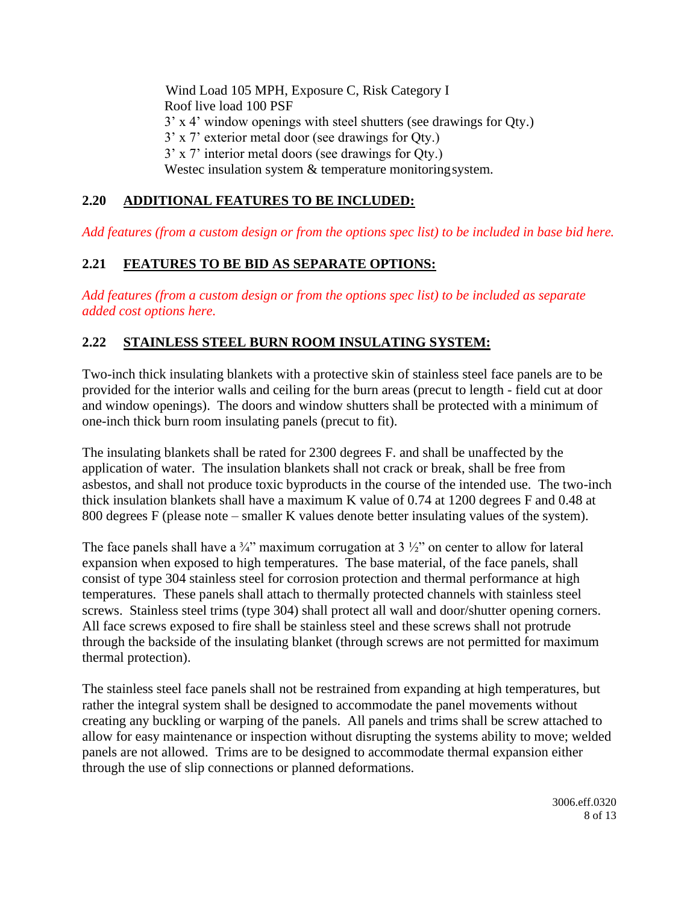Wind Load 105 MPH, Exposure C, Risk Category I Roof live load 100 PSF 3' x 4' window openings with steel shutters (see drawings for Qty.) 3' x 7' exterior metal door (see drawings for Qty.) 3' x 7' interior metal doors (see drawings for Qty.) Westec insulation system & temperature monitoring system.

## **2.20 ADDITIONAL FEATURES TO BE INCLUDED:**

*Add features (from a custom design or from the options spec list) to be included in base bid here.*

## **2.21 FEATURES TO BE BID AS SEPARATE OPTIONS:**

*Add features (from a custom design or from the options spec list) to be included as separate added cost options here.*

### **2.22 STAINLESS STEEL BURN ROOM INSULATING SYSTEM:**

Two-inch thick insulating blankets with a protective skin of stainless steel face panels are to be provided for the interior walls and ceiling for the burn areas (precut to length - field cut at door and window openings). The doors and window shutters shall be protected with a minimum of one-inch thick burn room insulating panels (precut to fit).

The insulating blankets shall be rated for 2300 degrees F. and shall be unaffected by the application of water. The insulation blankets shall not crack or break, shall be free from asbestos, and shall not produce toxic byproducts in the course of the intended use. The two-inch thick insulation blankets shall have a maximum K value of 0.74 at 1200 degrees F and 0.48 at 800 degrees F (please note – smaller K values denote better insulating values of the system).

The face panels shall have a  $\frac{3}{4}$ " maximum corrugation at 3  $\frac{1}{2}$ " on center to allow for lateral expansion when exposed to high temperatures. The base material, of the face panels, shall consist of type 304 stainless steel for corrosion protection and thermal performance at high temperatures. These panels shall attach to thermally protected channels with stainless steel screws. Stainless steel trims (type 304) shall protect all wall and door/shutter opening corners. All face screws exposed to fire shall be stainless steel and these screws shall not protrude through the backside of the insulating blanket (through screws are not permitted for maximum thermal protection).

The stainless steel face panels shall not be restrained from expanding at high temperatures, but rather the integral system shall be designed to accommodate the panel movements without creating any buckling or warping of the panels. All panels and trims shall be screw attached to allow for easy maintenance or inspection without disrupting the systems ability to move; welded panels are not allowed. Trims are to be designed to accommodate thermal expansion either through the use of slip connections or planned deformations.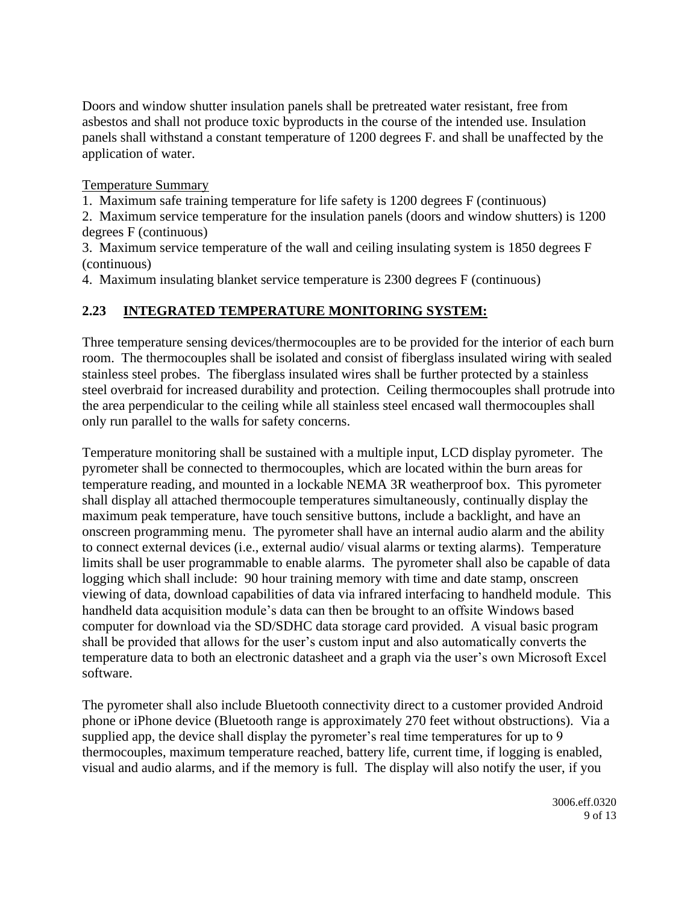Doors and window shutter insulation panels shall be pretreated water resistant, free from asbestos and shall not produce toxic byproducts in the course of the intended use. Insulation panels shall withstand a constant temperature of 1200 degrees F. and shall be unaffected by the application of water.

Temperature Summary

1. Maximum safe training temperature for life safety is 1200 degrees F (continuous)

2. Maximum service temperature for the insulation panels (doors and window shutters) is 1200 degrees F (continuous)

3. Maximum service temperature of the wall and ceiling insulating system is 1850 degrees F (continuous)

4. Maximum insulating blanket service temperature is 2300 degrees F (continuous)

# **2.23 INTEGRATED TEMPERATURE MONITORING SYSTEM:**

Three temperature sensing devices/thermocouples are to be provided for the interior of each burn room. The thermocouples shall be isolated and consist of fiberglass insulated wiring with sealed stainless steel probes. The fiberglass insulated wires shall be further protected by a stainless steel overbraid for increased durability and protection. Ceiling thermocouples shall protrude into the area perpendicular to the ceiling while all stainless steel encased wall thermocouples shall only run parallel to the walls for safety concerns.

Temperature monitoring shall be sustained with a multiple input, LCD display pyrometer. The pyrometer shall be connected to thermocouples, which are located within the burn areas for temperature reading, and mounted in a lockable NEMA 3R weatherproof box. This pyrometer shall display all attached thermocouple temperatures simultaneously, continually display the maximum peak temperature, have touch sensitive buttons, include a backlight, and have an onscreen programming menu. The pyrometer shall have an internal audio alarm and the ability to connect external devices (i.e., external audio/ visual alarms or texting alarms). Temperature limits shall be user programmable to enable alarms. The pyrometer shall also be capable of data logging which shall include: 90 hour training memory with time and date stamp, onscreen viewing of data, download capabilities of data via infrared interfacing to handheld module. This handheld data acquisition module's data can then be brought to an offsite Windows based computer for download via the SD/SDHC data storage card provided. A visual basic program shall be provided that allows for the user's custom input and also automatically converts the temperature data to both an electronic datasheet and a graph via the user's own Microsoft Excel software.

The pyrometer shall also include Bluetooth connectivity direct to a customer provided Android phone or iPhone device (Bluetooth range is approximately 270 feet without obstructions). Via a supplied app, the device shall display the pyrometer's real time temperatures for up to 9 thermocouples, maximum temperature reached, battery life, current time, if logging is enabled, visual and audio alarms, and if the memory is full. The display will also notify the user, if you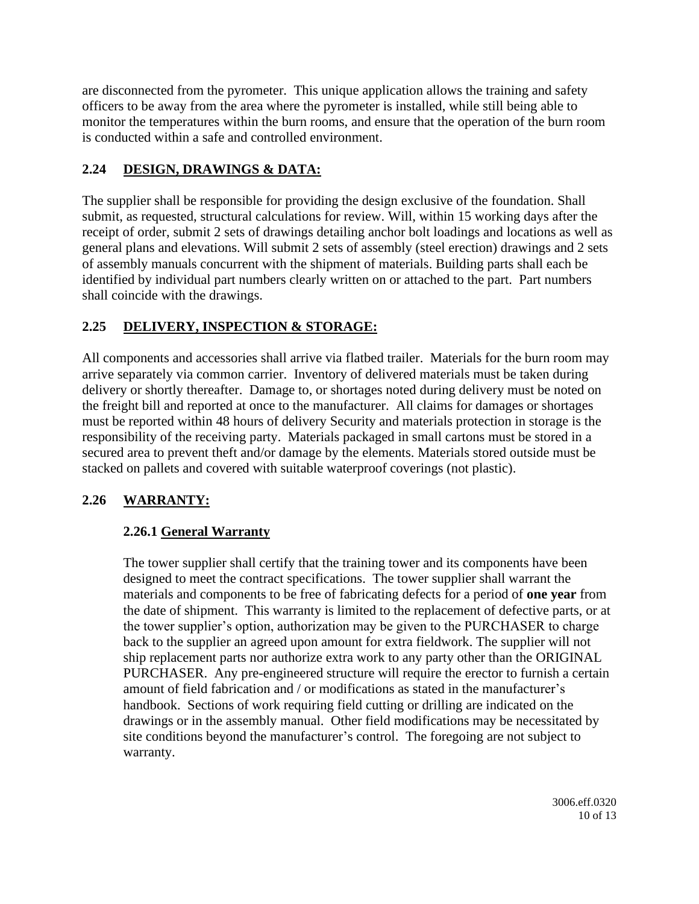are disconnected from the pyrometer. This unique application allows the training and safety officers to be away from the area where the pyrometer is installed, while still being able to monitor the temperatures within the burn rooms, and ensure that the operation of the burn room is conducted within a safe and controlled environment.

# **2.24 DESIGN, DRAWINGS & DATA:**

The supplier shall be responsible for providing the design exclusive of the foundation. Shall submit, as requested, structural calculations for review. Will, within 15 working days after the receipt of order, submit 2 sets of drawings detailing anchor bolt loadings and locations as well as general plans and elevations. Will submit 2 sets of assembly (steel erection) drawings and 2 sets of assembly manuals concurrent with the shipment of materials. Building parts shall each be identified by individual part numbers clearly written on or attached to the part. Part numbers shall coincide with the drawings.

# **2.25 DELIVERY, INSPECTION & STORAGE:**

All components and accessories shall arrive via flatbed trailer. Materials for the burn room may arrive separately via common carrier. Inventory of delivered materials must be taken during delivery or shortly thereafter. Damage to, or shortages noted during delivery must be noted on the freight bill and reported at once to the manufacturer. All claims for damages or shortages must be reported within 48 hours of delivery Security and materials protection in storage is the responsibility of the receiving party. Materials packaged in small cartons must be stored in a secured area to prevent theft and/or damage by the elements. Materials stored outside must be stacked on pallets and covered with suitable waterproof coverings (not plastic).

# **2.26 WARRANTY:**

# **2.26.1 General Warranty**

The tower supplier shall certify that the training tower and its components have been designed to meet the contract specifications. The tower supplier shall warrant the materials and components to be free of fabricating defects for a period of **one year** from the date of shipment. This warranty is limited to the replacement of defective parts, or at the tower supplier's option, authorization may be given to the PURCHASER to charge back to the supplier an agreed upon amount for extra fieldwork. The supplier will not ship replacement parts nor authorize extra work to any party other than the ORIGINAL PURCHASER. Any pre-engineered structure will require the erector to furnish a certain amount of field fabrication and / or modifications as stated in the manufacturer's handbook. Sections of work requiring field cutting or drilling are indicated on the drawings or in the assembly manual. Other field modifications may be necessitated by site conditions beyond the manufacturer's control. The foregoing are not subject to warranty.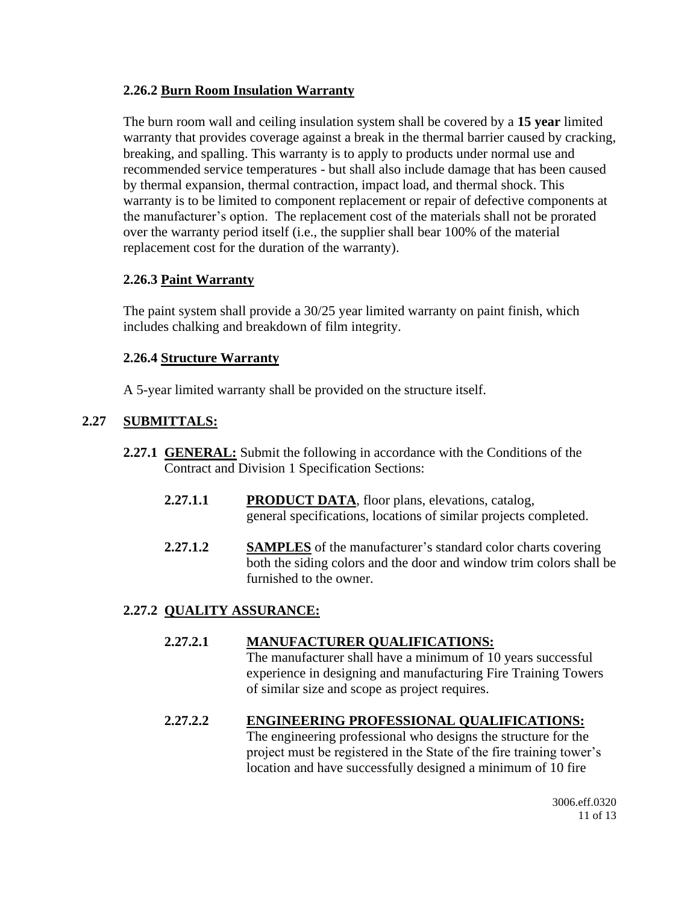### **2.26.2 Burn Room Insulation Warranty**

The burn room wall and ceiling insulation system shall be covered by a **15 year** limited warranty that provides coverage against a break in the thermal barrier caused by cracking, breaking, and spalling. This warranty is to apply to products under normal use and recommended service temperatures - but shall also include damage that has been caused by thermal expansion, thermal contraction, impact load, and thermal shock. This warranty is to be limited to component replacement or repair of defective components at the manufacturer's option. The replacement cost of the materials shall not be prorated over the warranty period itself (i.e., the supplier shall bear 100% of the material replacement cost for the duration of the warranty).

#### **2.26.3 Paint Warranty**

The paint system shall provide a 30/25 year limited warranty on paint finish, which includes chalking and breakdown of film integrity.

#### **2.26.4 Structure Warranty**

A 5-year limited warranty shall be provided on the structure itself.

## **2.27 SUBMITTALS:**

- **2.27.1 GENERAL:** Submit the following in accordance with the Conditions of the Contract and Division 1 Specification Sections:
	- **2.27.1.1 PRODUCT DATA**, floor plans, elevations, catalog, general specifications, locations of similar projects completed.
	- **2.27.1.2 SAMPLES** of the manufacturer's standard color charts covering both the siding colors and the door and window trim colors shall be furnished to the owner.

### **2.27.2 QUALITY ASSURANCE:**

#### **2.27.2.1 MANUFACTURER QUALIFICATIONS:**

The manufacturer shall have a minimum of 10 years successful experience in designing and manufacturing Fire Training Towers of similar size and scope as project requires.

### **2.27.2.2 ENGINEERING PROFESSIONAL QUALIFICATIONS:**

The engineering professional who designs the structure for the project must be registered in the State of the fire training tower's location and have successfully designed a minimum of 10 fire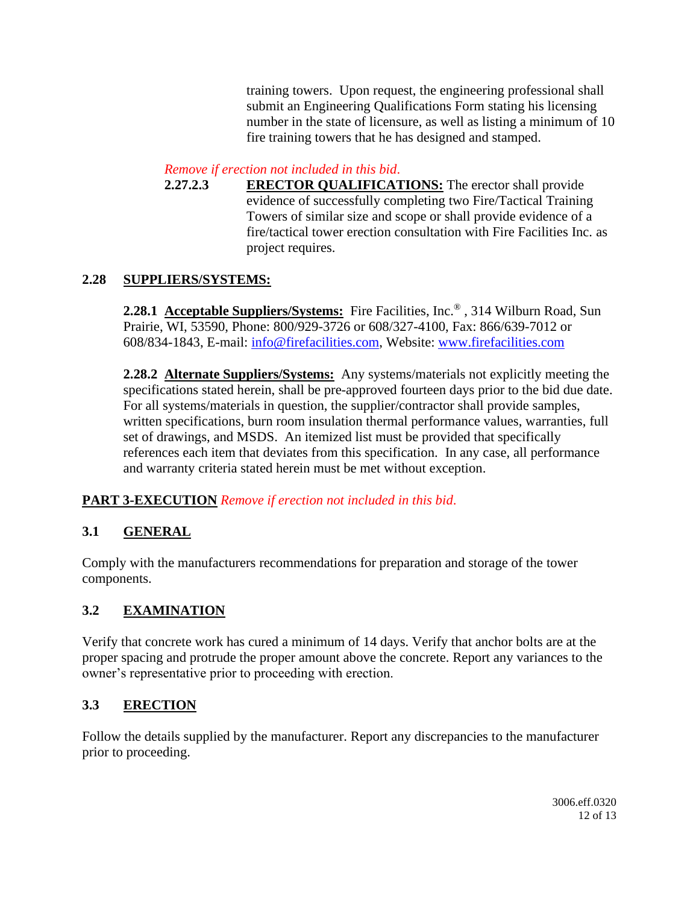training towers. Upon request, the engineering professional shall submit an Engineering Qualifications Form stating his licensing number in the state of licensure, as well as listing a minimum of 10 fire training towers that he has designed and stamped.

### *Remove if erection not included in this bid*.

**2.27.2.3 ERECTOR QUALIFICATIONS:** The erector shall provide evidence of successfully completing two Fire/Tactical Training Towers of similar size and scope or shall provide evidence of a fire/tactical tower erection consultation with Fire Facilities Inc. as project requires.

## **2.28 SUPPLIERS/SYSTEMS:**

**2.28.1 Acceptable Suppliers/Systems:** Fire Facilities, Inc.® , 314 Wilburn Road, Sun Prairie, WI, 53590, Phone: 800/929-3726 or 608/327-4100, Fax: 866/639-7012 or 608/834-1843, E-mail: [info@firefacilities.com,](mailto:info@firefacilities.com) Website: [www.firefacilities.com](http://www.firefacilities.com/)

**2.28.2 Alternate Suppliers/Systems:** Any systems/materials not explicitly meeting the specifications stated herein, shall be pre-approved fourteen days prior to the bid due date. For all systems/materials in question, the supplier/contractor shall provide samples, written specifications, burn room insulation thermal performance values, warranties, full set of drawings, and MSDS. An itemized list must be provided that specifically references each item that deviates from this specification. In any case, all performance and warranty criteria stated herein must be met without exception.

# **PART 3-EXECUTION** *Remove if erection not included in this bid*.

# **3.1 GENERAL**

Comply with the manufacturers recommendations for preparation and storage of the tower components.

# **3.2 EXAMINATION**

Verify that concrete work has cured a minimum of 14 days. Verify that anchor bolts are at the proper spacing and protrude the proper amount above the concrete. Report any variances to the owner's representative prior to proceeding with erection.

### **3.3 ERECTION**

Follow the details supplied by the manufacturer. Report any discrepancies to the manufacturer prior to proceeding.